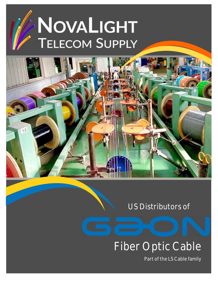# NOVALIGHT **TELECOM SUPPLY**



# US Distributors of

# Fiber Optic Cable

Part of the LS Cable family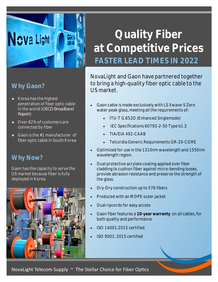# **Quality Fiber at Competitive Prices FASTER LEAD TIMES IN 2022**

**Why Gaon?** 

**Nova Light** 

- Korea has the highest penetration of fiber optic cable in the world (*OECD Broadband Report)*
- Over 82% of customers are connected by fiber
- Gaon is the #1 manufacturer of fiber optic cable in South Korea.

### **Why Now?**

Gaon has the capacity to serve the US market because fiber is fully deployed in Korea.



NovaLight and Gaon have partnered together to bring a high-quality fiber optic cable to the US market.

- Gaon cable is made exclusively with LS Xwave-S Zero water peak glass, meeting all the requirements of:
	- ITU-T G.652D (Enhanced Singlemode)
	- IEC Specifications 60793-2-50 Type b1.3
	- TIA/EIA 492-CAAB
	- Telcordia Generic Requirements GR-20-CORE
- Optimized for use in the 1310nm wavelength and 1550nm wavelength region.
- Dual protective acrylate coating applied over fiber cladding to cushion fiber against micro-bending losses, provide abrasion resistance and preserve the strength of the glass.
- Dry-Dry construction up to 576 fibers
- Produced with an MDPE outer jacket
- Dual ripcords for easy access
- Gaon fiber features a **10-year warranty** on all cables, for both quality and performance
- ISO 14001:2015 certified
- ISO 9001: 2015 certified

NovaLight Telecom Supply  $\sim$  The Stellar Choice for Fiber Optics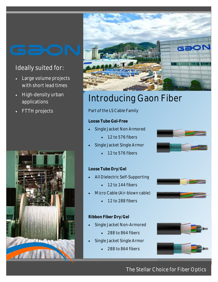# Ideally suited for:

- Large volume projects with short lead times
- High-density urban applications
- FTTH projects





# Introducing Gaon Fiber

Part of the LS Cable Family

#### **Loose Tube Gel-Free**

- Single Jacket Non Armored
	- 12 to 576 fibers
- Single Jacket Single Armor
	- 12 to 576 fibers

#### **Loose Tube Dry/Gel**

- All Dielectric Self-Supporting
	- $\cdot$  12 to 144 fibers
- Micro Cable (Air-blown cable)
	- 12 to 288 fibers

#### **Ribbon Fiber Dry/Gel**

- Single Jacket Non-Armored
	- 288 to 864 fibers
- Single Jacket Single Armor
	- 288 to 864 fibers







### The Stellar Choice for Fiber Optics